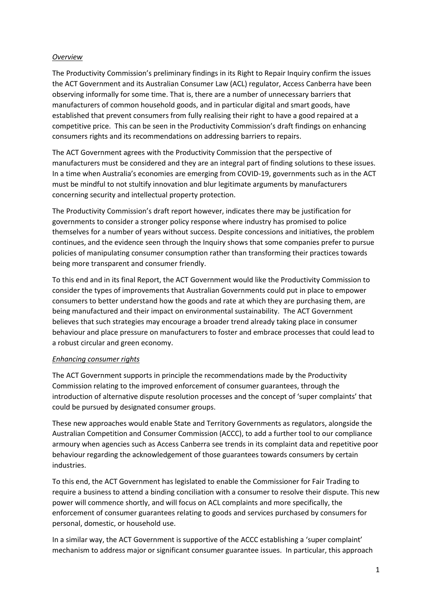# *Overview*

The Productivity Commission's preliminary findings in its Right to Repair Inquiry confirm the issues the ACT Government and its Australian Consumer Law (ACL) regulator, Access Canberra have been observing informally for some time. That is, there are a number of unnecessary barriers that manufacturers of common household goods, and in particular digital and smart goods, have established that prevent consumers from fully realising their right to have a good repaired at a competitive price. This can be seen in the Productivity Commission's draft findings on enhancing consumers rights and its recommendations on addressing barriers to repairs.

The ACT Government agrees with the Productivity Commission that the perspective of manufacturers must be considered and they are an integral part of finding solutions to these issues. In a time when Australia's economies are emerging from COVID-19, governments such as in the ACT must be mindful to not stultify innovation and blur legitimate arguments by manufacturers concerning security and intellectual property protection.

The Productivity Commission's draft report however, indicates there may be justification for governments to consider a stronger policy response where industry has promised to police themselves for a number of years without success. Despite concessions and initiatives, the problem continues, and the evidence seen through the Inquiry shows that some companies prefer to pursue policies of manipulating consumer consumption rather than transforming their practices towards being more transparent and consumer friendly.

To this end and in its final Report, the ACT Government would like the Productivity Commission to consider the types of improvements that Australian Governments could put in place to empower consumers to better understand how the goods and rate at which they are purchasing them, are being manufactured and their impact on environmental sustainability. The ACT Government believes that such strategies may encourage a broader trend already taking place in consumer behaviour and place pressure on manufacturers to foster and embrace processes that could lead to a robust circular and green economy.

## *Enhancing consumer rights*

The ACT Government supports in principle the recommendations made by the Productivity Commission relating to the improved enforcement of consumer guarantees, through the introduction of alternative dispute resolution processes and the concept of 'super complaints' that could be pursued by designated consumer groups.

These new approaches would enable State and Territory Governments as regulators, alongside the Australian Competition and Consumer Commission (ACCC), to add a further tool to our compliance armoury when agencies such as Access Canberra see trends in its complaint data and repetitive poor behaviour regarding the acknowledgement of those guarantees towards consumers by certain industries.

To this end, the ACT Government has legislated to enable the Commissioner for Fair Trading to require a business to attend a binding conciliation with a consumer to resolve their dispute. This new power will commence shortly, and will focus on ACL complaints and more specifically, the enforcement of consumer guarantees relating to goods and services purchased by consumers for personal, domestic, or household use.

In a similar way, the ACT Government is supportive of the ACCC establishing a 'super complaint' mechanism to address major or significant consumer guarantee issues. In particular, this approach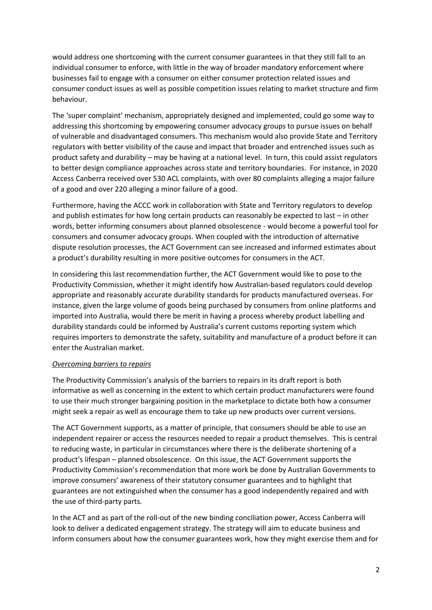would address one shortcoming with the current consumer guarantees in that they still fall to an individual consumer to enforce, with little in the way of broader mandatory enforcement where businesses fail to engage with a consumer on either consumer protection related issues and consumer conduct issues as well as possible competition issues relating to market structure and firm behaviour.

The 'super complaint' mechanism, appropriately designed and implemented, could go some way to addressing this shortcoming by empowering consumer advocacy groups to pursue issues on behalf of vulnerable and disadvantaged consumers. This mechanism would also provide State and Territory regulators with better visibility of the cause and impact that broader and entrenched issues such as product safety and durability – may be having at a national level. In turn, this could assist regulators to better design compliance approaches across state and territory boundaries. For instance, in 2020 Access Canberra received over 530 ACL complaints, with over 80 complaints alleging a major failure of a good and over 220 alleging a minor failure of a good.

Furthermore, having the ACCC work in collaboration with State and Territory regulators to develop and publish estimates for how long certain products can reasonably be expected to last – in other words, better informing consumers about planned obsolescence - would become a powerful tool for consumers and consumer advocacy groups. When coupled with the introduction of alternative dispute resolution processes, the ACT Government can see increased and informed estimates about a product's durability resulting in more positive outcomes for consumers in the ACT.

In considering this last recommendation further, the ACT Government would like to pose to the Productivity Commission, whether it might identify how Australian-based regulators could develop appropriate and reasonably accurate durability standards for products manufactured overseas. For instance, given the large volume of goods being purchased by consumers from online platforms and imported into Australia, would there be merit in having a process whereby product labelling and durability standards could be informed by Australia's current customs reporting system which requires importers to demonstrate the safety, suitability and manufacture of a product before it can enter the Australian market.

## *Overcoming barriers to repairs*

The Productivity Commission's analysis of the barriers to repairs in its draft report is both informative as well as concerning in the extent to which certain product manufacturers were found to use their much stronger bargaining position in the marketplace to dictate both how a consumer might seek a repair as well as encourage them to take up new products over current versions.

The ACT Government supports, as a matter of principle, that consumers should be able to use an independent repairer or access the resources needed to repair a product themselves. This is central to reducing waste, in particular in circumstances where there is the deliberate shortening of a product's lifespan – planned obsolescence. On this issue, the ACT Government supports the Productivity Commission's recommendation that more work be done by Australian Governments to improve consumers' awareness of their statutory consumer guarantees and to highlight that guarantees are not extinguished when the consumer has a good independently repaired and with the use of third-party parts.

In the ACT and as part of the roll-out of the new binding conciliation power, Access Canberra will look to deliver a dedicated engagement strategy. The strategy will aim to educate business and inform consumers about how the consumer guarantees work, how they might exercise them and for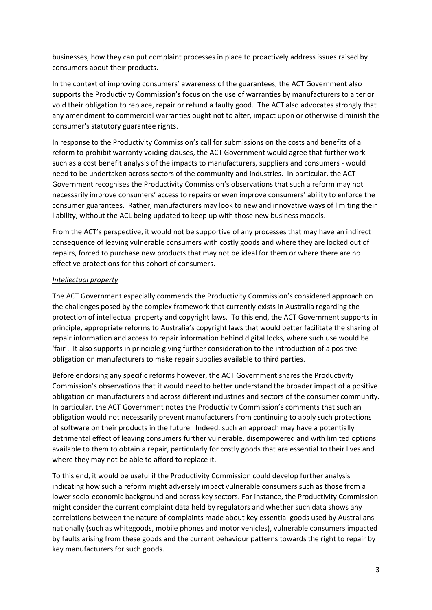businesses, how they can put complaint processes in place to proactively address issues raised by consumers about their products.

In the context of improving consumers' awareness of the guarantees, the ACT Government also supports the Productivity Commission's focus on the use of warranties by manufacturers to alter or void their obligation to replace, repair or refund a faulty good. The ACT also advocates strongly that any amendment to commercial warranties ought not to alter, impact upon or otherwise diminish the consumer's statutory guarantee rights.

In response to the Productivity Commission's call for submissions on the costs and benefits of a reform to prohibit warranty voiding clauses, the ACT Government would agree that further work such as a cost benefit analysis of the impacts to manufacturers, suppliers and consumers - would need to be undertaken across sectors of the community and industries. In particular, the ACT Government recognises the Productivity Commission's observations that such a reform may not necessarily improve consumers' access to repairs or even improve consumers' ability to enforce the consumer guarantees. Rather, manufacturers may look to new and innovative ways of limiting their liability, without the ACL being updated to keep up with those new business models.

From the ACT's perspective, it would not be supportive of any processes that may have an indirect consequence of leaving vulnerable consumers with costly goods and where they are locked out of repairs, forced to purchase new products that may not be ideal for them or where there are no effective protections for this cohort of consumers.

# *Intellectual property*

The ACT Government especially commends the Productivity Commission's considered approach on the challenges posed by the complex framework that currently exists in Australia regarding the protection of intellectual property and copyright laws. To this end, the ACT Government supports in principle, appropriate reforms to Australia's copyright laws that would better facilitate the sharing of repair information and access to repair information behind digital locks, where such use would be 'fair'. It also supports in principle giving further consideration to the introduction of a positive obligation on manufacturers to make repair supplies available to third parties.

Before endorsing any specific reforms however, the ACT Government shares the Productivity Commission's observations that it would need to better understand the broader impact of a positive obligation on manufacturers and across different industries and sectors of the consumer community. In particular, the ACT Government notes the Productivity Commission's comments that such an obligation would not necessarily prevent manufacturers from continuing to apply such protections of software on their products in the future. Indeed, such an approach may have a potentially detrimental effect of leaving consumers further vulnerable, disempowered and with limited options available to them to obtain a repair, particularly for costly goods that are essential to their lives and where they may not be able to afford to replace it.

To this end, it would be useful if the Productivity Commission could develop further analysis indicating how such a reform might adversely impact vulnerable consumers such as those from a lower socio-economic background and across key sectors. For instance, the Productivity Commission might consider the current complaint data held by regulators and whether such data shows any correlations between the nature of complaints made about key essential goods used by Australians nationally (such as whitegoods, mobile phones and motor vehicles), vulnerable consumers impacted by faults arising from these goods and the current behaviour patterns towards the right to repair by key manufacturers for such goods.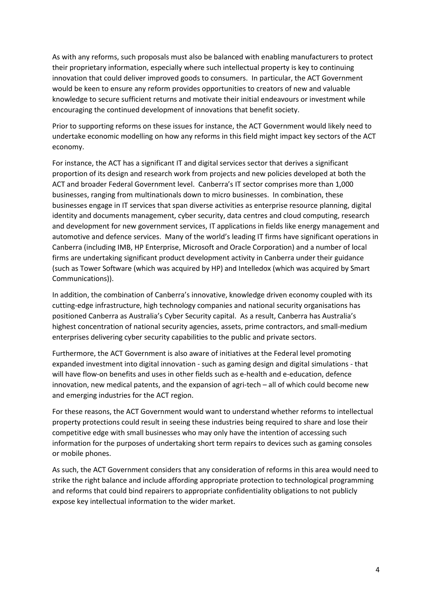As with any reforms, such proposals must also be balanced with enabling manufacturers to protect their proprietary information, especially where such intellectual property is key to continuing innovation that could deliver improved goods to consumers. In particular, the ACT Government would be keen to ensure any reform provides opportunities to creators of new and valuable knowledge to secure sufficient returns and motivate their initial endeavours or investment while encouraging the continued development of innovations that benefit society.

Prior to supporting reforms on these issues for instance, the ACT Government would likely need to undertake economic modelling on how any reforms in this field might impact key sectors of the ACT economy.

For instance, the ACT has a significant IT and digital services sector that derives a significant proportion of its design and research work from projects and new policies developed at both the ACT and broader Federal Government level. Canberra's IT sector comprises more than 1,000 businesses, ranging from multinationals down to micro businesses. In combination, these businesses engage in IT services that span diverse activities as enterprise resource planning, digital identity and documents management, cyber security, data centres and cloud computing, research and development for new government services, IT applications in fields like energy management and automotive and defence services. Many of the world's leading IT firms have significant operations in Canberra (including IMB, HP Enterprise, Microsoft and Oracle Corporation) and a number of local firms are undertaking significant product development activity in Canberra under their guidance (such as Tower Software (which was acquired by HP) and Intelledox (which was acquired by Smart Communications)).

In addition, the combination of Canberra's innovative, knowledge driven economy coupled with its cutting-edge infrastructure, high technology companies and national security organisations has positioned Canberra as Australia's Cyber Security capital. As a result, Canberra has Australia's highest concentration of national security agencies, assets, prime contractors, and small-medium enterprises delivering cyber security capabilities to the public and private sectors.

Furthermore, the ACT Government is also aware of initiatives at the Federal level promoting expanded investment into digital innovation - such as gaming design and digital simulations - that will have flow-on benefits and uses in other fields such as e-health and e-education, defence innovation, new medical patents, and the expansion of agri-tech – all of which could become new and emerging industries for the ACT region.

For these reasons, the ACT Government would want to understand whether reforms to intellectual property protections could result in seeing these industries being required to share and lose their competitive edge with small businesses who may only have the intention of accessing such information for the purposes of undertaking short term repairs to devices such as gaming consoles or mobile phones.

As such, the ACT Government considers that any consideration of reforms in this area would need to strike the right balance and include affording appropriate protection to technological programming and reforms that could bind repairers to appropriate confidentiality obligations to not publicly expose key intellectual information to the wider market.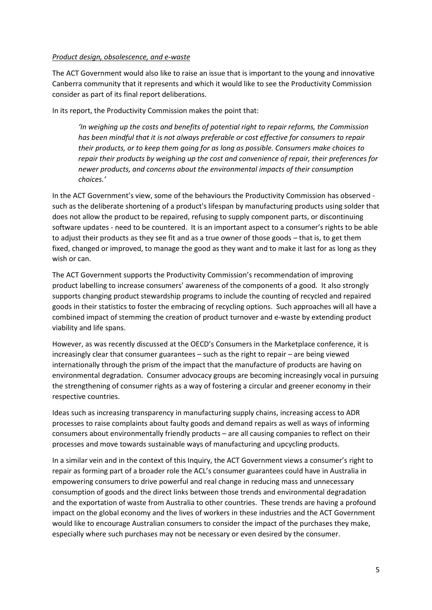## *Product design, obsolescence, and e-waste*

The ACT Government would also like to raise an issue that is important to the young and innovative Canberra community that it represents and which it would like to see the Productivity Commission consider as part of its final report deliberations.

In its report, the Productivity Commission makes the point that:

*'In weighing up the costs and benefits of potential right to repair reforms, the Commission has been mindful that it is not always preferable or cost effective for consumers to repair their products, or to keep them going for as long as possible. Consumers make choices to repair their products by weighing up the cost and convenience of repair, their preferences for newer products, and concerns about the environmental impacts of their consumption choices.'*

In the ACT Government's view, some of the behaviours the Productivity Commission has observed such as the deliberate shortening of a product's lifespan by manufacturing products using solder that does not allow the product to be repaired, refusing to supply component parts, or discontinuing software updates - need to be countered. It is an important aspect to a consumer's rights to be able to adjust their products as they see fit and as a true owner of those goods – that is, to get them fixed, changed or improved, to manage the good as they want and to make it last for as long as they wish or can.

The ACT Government supports the Productivity Commission's recommendation of improving product labelling to increase consumers' awareness of the components of a good. It also strongly supports changing product stewardship programs to include the counting of recycled and repaired goods in their statistics to foster the embracing of recycling options. Such approaches will all have a combined impact of stemming the creation of product turnover and e-waste by extending product viability and life spans.

However, as was recently discussed at the OECD's Consumers in the Marketplace conference, it is increasingly clear that consumer guarantees – such as the right to repair – are being viewed internationally through the prism of the impact that the manufacture of products are having on environmental degradation. Consumer advocacy groups are becoming increasingly vocal in pursuing the strengthening of consumer rights as a way of fostering a circular and greener economy in their respective countries.

Ideas such as increasing transparency in manufacturing supply chains, increasing access to ADR processes to raise complaints about faulty goods and demand repairs as well as ways of informing consumers about environmentally friendly products – are all causing companies to reflect on their processes and move towards sustainable ways of manufacturing and upcycling products.

In a similar vein and in the context of this Inquiry, the ACT Government views a consumer's right to repair as forming part of a broader role the ACL's consumer guarantees could have in Australia in empowering consumers to drive powerful and real change in reducing mass and unnecessary consumption of goods and the direct links between those trends and environmental degradation and the exportation of waste from Australia to other countries. These trends are having a profound impact on the global economy and the lives of workers in these industries and the ACT Government would like to encourage Australian consumers to consider the impact of the purchases they make, especially where such purchases may not be necessary or even desired by the consumer.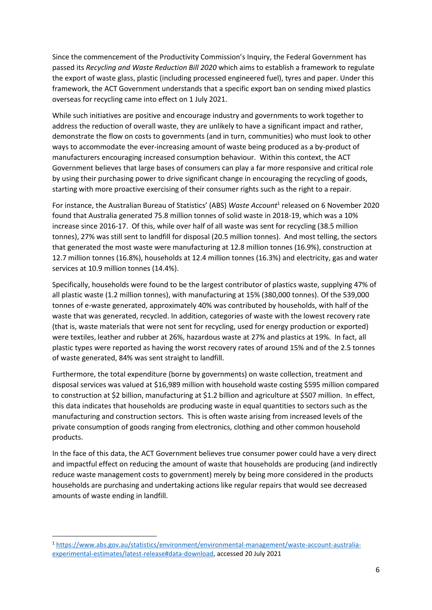Since the commencement of the Productivity Commission's Inquiry, the Federal Government has passed its *Recycling and Waste Reduction Bill 2020* which aims to establish a framework to regulate the export of waste glass, plastic (including processed engineered fuel), tyres and paper. Under this framework, the ACT Government understands that a specific export ban on sending mixed plastics overseas for recycling came into effect on 1 July 2021.

While such initiatives are positive and encourage industry and governments to work together to address the reduction of overall waste, they are unlikely to have a significant impact and rather, demonstrate the flow on costs to governments (and in turn, communities) who must look to other ways to accommodate the ever-increasing amount of waste being produced as a by-product of manufacturers encouraging increased consumption behaviour. Within this context, the ACT Government believes that large bases of consumers can play a far more responsive and critical role by using their purchasing power to drive significant change in encouraging the recycling of goods, starting with more proactive exercising of their consumer rights such as the right to a repair.

For instance, the Australian Bureau of Statistics' (ABS) Waste Account<sup>1</sup> released on 6 November 2020 found that Australia generated 75.8 million tonnes of solid waste in 2018-19, which was a 10% increase since 2016-17. Of this, while over half of all waste was sent for recycling (38.5 million tonnes), 27% was still sent to landfill for disposal (20.5 million tonnes). And most telling, the sectors that generated the most waste were manufacturing at 12.8 million tonnes (16.9%), construction at 12.7 million tonnes (16.8%), households at 12.4 million tonnes (16.3%) and electricity, gas and water services at 10.9 million tonnes (14.4%).

Specifically, households were found to be the largest contributor of plastics waste, supplying 47% of all plastic waste (1.2 million tonnes), with manufacturing at 15% (380,000 tonnes). Of the 539,000 tonnes of e-waste generated, approximately 40% was contributed by households, with half of the waste that was generated, recycled. In addition, categories of waste with the lowest recovery rate (that is, waste materials that were not sent for recycling, used for energy production or exported) were textiles, leather and rubber at 26%, hazardous waste at 27% and plastics at 19%. In fact, all plastic types were reported as having the worst recovery rates of around 15% and of the 2.5 tonnes of waste generated, 84% was sent straight to landfill.

Furthermore, the total expenditure (borne by governments) on waste collection, treatment and disposal services was valued at \$16,989 million with household waste costing \$595 million compared to construction at \$2 billion, manufacturing at \$1.2 billion and agriculture at \$507 million. In effect, this data indicates that households are producing waste in equal quantities to sectors such as the manufacturing and construction sectors. This is often waste arising from increased levels of the private consumption of goods ranging from electronics, clothing and other common household products.

In the face of this data, the ACT Government believes true consumer power could have a very direct and impactful effect on reducing the amount of waste that households are producing (and indirectly reduce waste management costs to government) merely by being more considered in the products households are purchasing and undertaking actions like regular repairs that would see decreased amounts of waste ending in landfill.

<sup>1</sup> [https://www.abs.gov.au/statistics/environment/environmental-management/waste-account-australia](https://www.abs.gov.au/statistics/environment/environmental-management/waste-account-australia-experimental-estimates/latest-release#data-download)[experimental-estimates/latest-release#data-download,](https://www.abs.gov.au/statistics/environment/environmental-management/waste-account-australia-experimental-estimates/latest-release#data-download) accessed 20 July 2021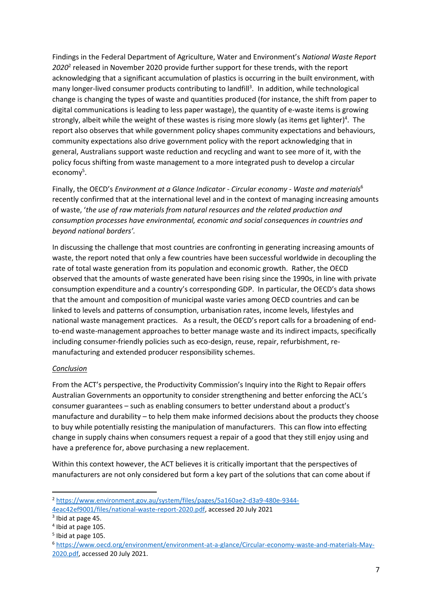Findings in the Federal Department of Agriculture, Water and Environment's *National Waste Report 2020*<sup>2</sup> released in November 2020 provide further support for these trends, with the report acknowledging that a significant accumulation of plastics is occurring in the built environment, with many longer-lived consumer products contributing to landfill<sup>3</sup>. In addition, while technological change is changing the types of waste and quantities produced (for instance, the shift from paper to digital communications is leading to less paper wastage), the quantity of e-waste items is growing strongly, albeit while the weight of these wastes is rising more slowly (as items get lighter)<sup>4</sup>. The report also observes that while government policy shapes community expectations and behaviours, community expectations also drive government policy with the report acknowledging that in general, Australians support waste reduction and recycling and want to see more of it, with the policy focus shifting from waste management to a more integrated push to develop a circular economy<sup>5</sup>.

Finally, the OECD's *Environment at a Glance Indicator - Circular economy - Waste and materials*<sup>6</sup> recently confirmed that at the international level and in the context of managing increasing amounts of waste, '*the use of raw materials from natural resources and the related production and consumption processes have environmental, economic and social consequences in countries and beyond national borders'.*

In discussing the challenge that most countries are confronting in generating increasing amounts of waste, the report noted that only a few countries have been successful worldwide in decoupling the rate of total waste generation from its population and economic growth. Rather, the OECD observed that the amounts of waste generated have been rising since the 1990s, in line with private consumption expenditure and a country's corresponding GDP. In particular, the OECD's data shows that the amount and composition of municipal waste varies among OECD countries and can be linked to levels and patterns of consumption, urbanisation rates, income levels, lifestyles and national waste management practices. As a result, the OECD's report calls for a broadening of endto-end waste-management approaches to better manage waste and its indirect impacts, specifically including consumer-friendly policies such as eco-design, reuse, repair, refurbishment, remanufacturing and extended producer responsibility schemes.

## *Conclusion*

From the ACT's perspective, the Productivity Commission's Inquiry into the Right to Repair offers Australian Governments an opportunity to consider strengthening and better enforcing the ACL's consumer guarantees – such as enabling consumers to better understand about a product's manufacture and durability – to help them make informed decisions about the products they choose to buy while potentially resisting the manipulation of manufacturers. This can flow into effecting change in supply chains when consumers request a repair of a good that they still enjoy using and have a preference for, above purchasing a new replacement.

Within this context however, the ACT believes it is critically important that the perspectives of manufacturers are not only considered but form a key part of the solutions that can come about if

<sup>2</sup> [https://www.environment.gov.au/system/files/pages/5a160ae2-d3a9-480e-9344-](https://www.environment.gov.au/system/files/pages/5a160ae2-d3a9-480e-9344-4eac42ef9001/files/national-waste-report-2020.pdf) [4eac42ef9001/files/national-waste-report-2020.pdf,](https://www.environment.gov.au/system/files/pages/5a160ae2-d3a9-480e-9344-4eac42ef9001/files/national-waste-report-2020.pdf) accessed 20 July 2021

<sup>&</sup>lt;sup>3</sup> Ibid at page 45.

<sup>4</sup> Ibid at page 105.

<sup>5</sup> Ibid at page 105.

<sup>6</sup> [https://www.oecd.org/environment/environment-at-a-glance/Circular-economy-waste-and-materials-May-](https://www.oecd.org/environment/environment-at-a-glance/Circular-economy-waste-and-materials-May-2020.pdf)[2020.pdf,](https://www.oecd.org/environment/environment-at-a-glance/Circular-economy-waste-and-materials-May-2020.pdf) accessed 20 July 2021.